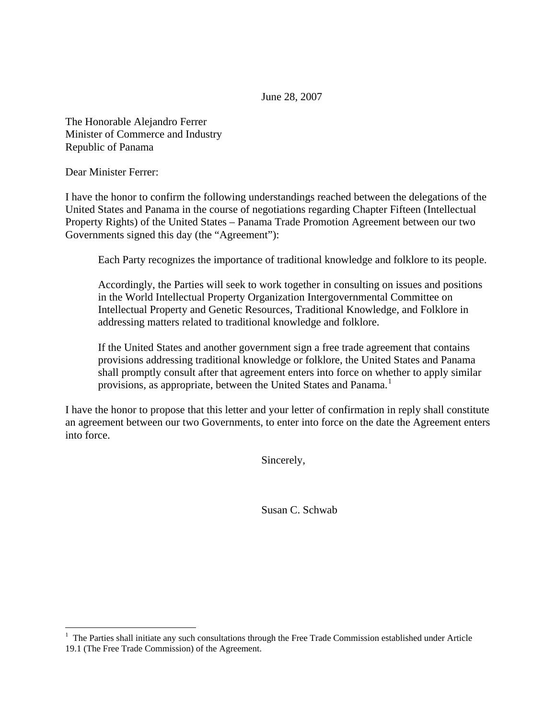June 28, 2007

The Honorable Alejandro Ferrer Minister of Commerce and Industry Republic of Panama

Dear Minister Ferrer:

I have the honor to confirm the following understandings reached between the delegations of the United States and Panama in the course of negotiations regarding Chapter Fifteen (Intellectual Property Rights) of the United States – Panama Trade Promotion Agreement between our two Governments signed this day (the "Agreement"):

Each Party recognizes the importance of traditional knowledge and folklore to its people.

Accordingly, the Parties will seek to work together in consulting on issues and positions in the World Intellectual Property Organization Intergovernmental Committee on Intellectual Property and Genetic Resources, Traditional Knowledge, and Folklore in addressing matters related to traditional knowledge and folklore.

If the United States and another government sign a free trade agreement that contains provisions addressing traditional knowledge or folklore, the United States and Panama shall promptly consult after that agreement enters into force on whether to apply similar provisions, as appropriate, between the United States and Panama.<sup>[1](#page-0-0)</sup>

I have the honor to propose that this letter and your letter of confirmation in reply shall constitute an agreement between our two Governments, to enter into force on the date the Agreement enters into force.

Sincerely,

Susan C. Schwab

<span id="page-0-0"></span><sup>&</sup>lt;sup>1</sup> The Parties shall initiate any such consultations through the Free Trade Commission established under Article 19.1 (The Free Trade Commission) of the Agreement.